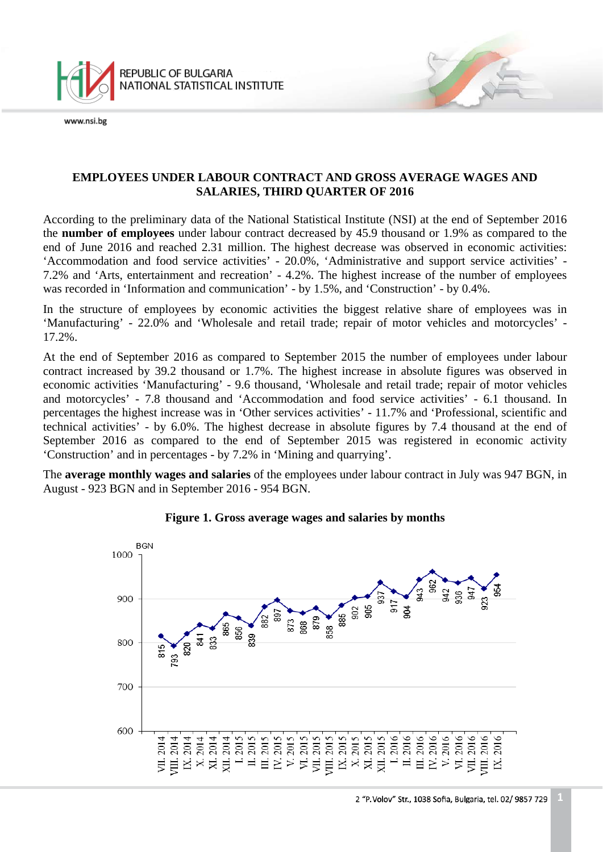

# **EMPLOYEES UNDER LABOUR CONTRACT AND GROSS AVERAGE WAGES AND SALARIES, THIRD QUARTER OF 2016**

According to the preliminary data of the National Statistical Institute (NSI) at the end of September 2016 the **number of employees** under labour contract decreased by 45.9 thousand or 1.9% as compared to the end of June 2016 and reached 2.31 million. The highest decrease was observed in economic activities: 'Accommodation and food service activities' - 20.0%, 'Administrative and support service activities' - 7.2% and 'Arts, entertainment and recreation' - 4.2%. The highest increase of the number of employees was recorded in 'Information and communication' - by 1.5%, and 'Construction' - by 0.4%.

In the structure of employees by economic activities the biggest relative share of employees was in 'Manufacturing' - 22.0% and 'Wholesale and retail trade; repair of motor vehicles and motorcycles' - 17.2%.

At the end of September 2016 as compared to September 2015 the number of employees under labour contract increased by 39.2 thousand or 1.7%. The highest increase in absolute figures was observed in economic activities 'Manufacturing' - 9.6 thousand, 'Wholesale and retail trade; repair of motor vehicles and motorcycles' - 7.8 thousand and 'Accommodation and food service activities' - 6.1 thousand. In percentages the highest increase was in 'Other services activities' - 11.7% and 'Professional, scientific and technical activities' - by 6.0%. The highest decrease in absolute figures by 7.4 thousand at the end of September 2016 as compared to the end of September 2015 was registered in economic activity 'Construction' and in percentages - by 7.2% in 'Mining and quarrying'.

The **average monthly wages and salaries** of the employees under labour contract in July was 947 BGN, in August - 923 BGN and in September 2016 - 954 BGN.



# **Figure 1. Gross average wages and salaries by months**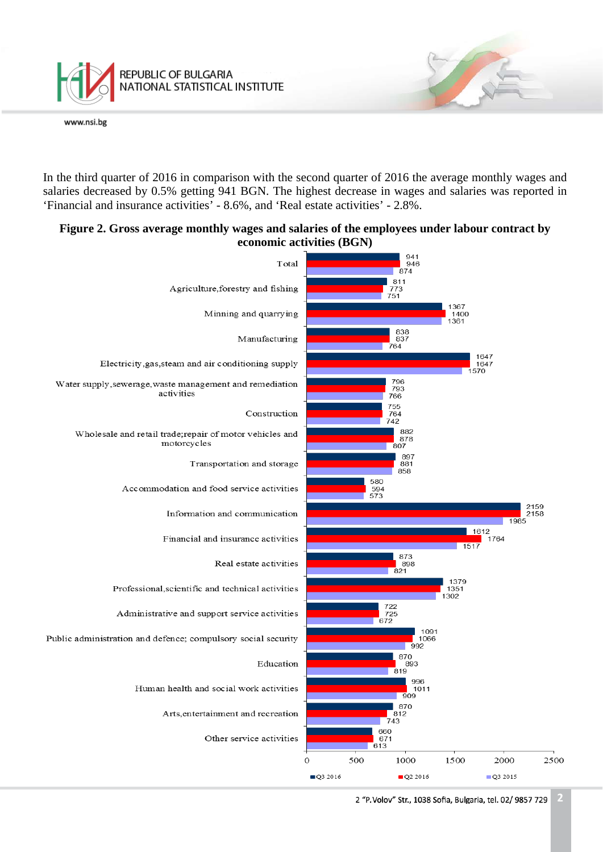

In the third quarter of 2016 in comparison with the second quarter of 2016 the average monthly wages and salaries decreased by 0.5% getting 941 BGN. The highest decrease in wages and salaries was reported in 'Financial and insurance activities' - 8.6%, and 'Real estate activities' - 2.8%.

## **Figure 2. Gross average monthly wages and salaries of the employees under labour contract by economic activities (BGN)**

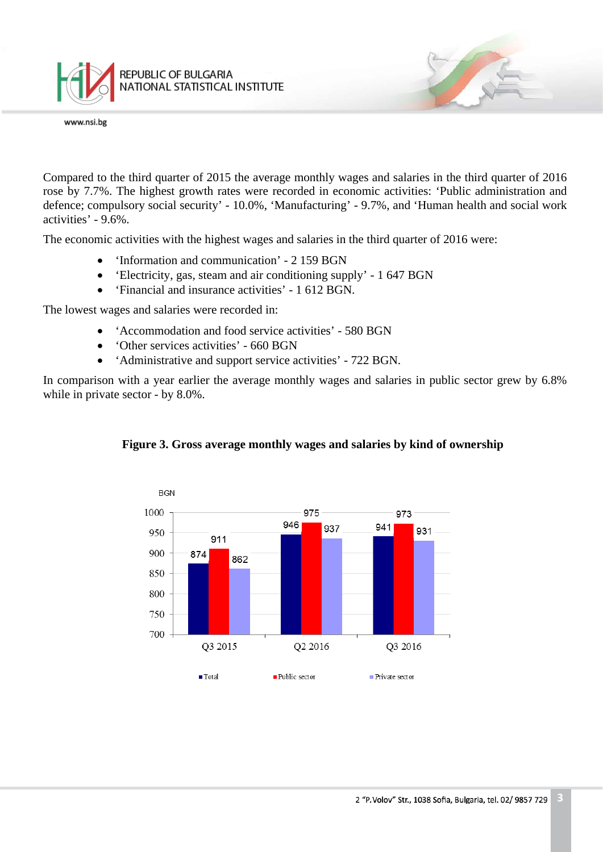

Compared to the third quarter of 2015 the average monthly wages and salaries in the third quarter of 2016 rose by 7.7%. The highest growth rates were recorded in economic activities: 'Public administration and defence; compulsory social security' - 10.0%, 'Manufacturing' - 9.7%, and 'Human health and social work activities' - 9.6%.

The economic activities with the highest wages and salaries in the third quarter of 2016 were:

- 'Information and communication' 2 159 BGN
- 'Electricity, gas, steam and air conditioning supply' 1 647 BGN
- 'Financial and insurance activities' 1 612 BGN.

The lowest wages and salaries were recorded in:

- 'Accommodation and food service activities' 580 BGN
- 'Other services activities' 660 BGN
- 'Administrative and support service activities' 722 BGN.

In comparison with a year earlier the average monthly wages and salaries in public sector grew by 6.8% while in private sector - by 8.0%.



#### **Figure 3. Gross average monthly wages and salaries by kind of ownership**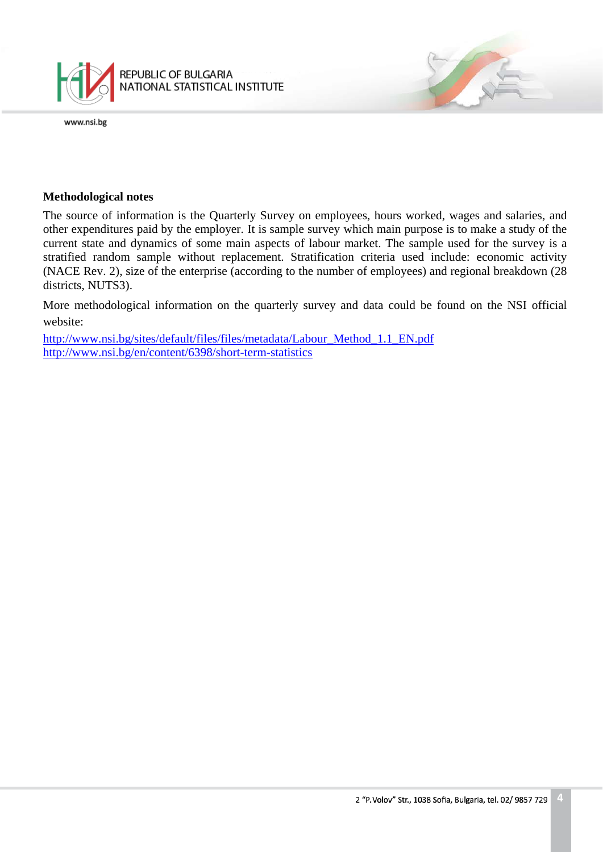

#### **Methodological notes**

The source of information is the Quarterly Survey on employees, hours worked, wages and salaries, and other expenditures paid by the employer. It is sample survey which main purpose is to make a study of the current state and dynamics of some main aspects of labour market. The sample used for the survey is a stratified random sample without replacement. Stratification criteria used include: economic activity (NACE Rev. 2), size of the enterprise (according to the number of employees) and regional breakdown (28 districts, NUTS3).

More methodological information on the quarterly survey and data could be found on the NSI official website:

[http://www.nsi.bg/sites/default/files/files/metadata/Labour\\_Method\\_1.1\\_EN.pdf](http://www.nsi.bg/sites/default/files/files/metadata/Labour_Method_1.1_EN.pdf) <http://www.nsi.bg/en/content/6398/short-term-statistics>

1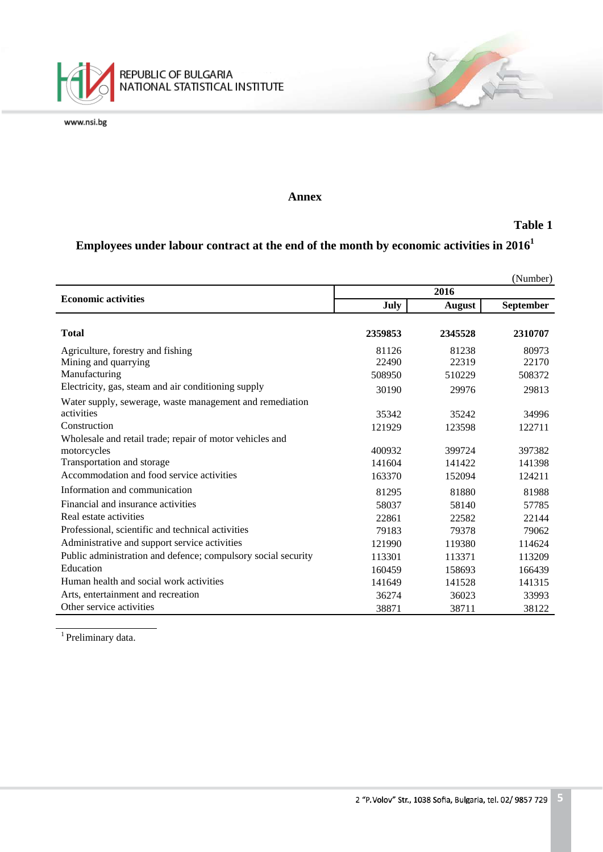

#### **Annex**

#### **Table 1**

# **Employees under labour contract at the end of the month by economic activities in 20161**

|                                                               |         |               | (Number)  |
|---------------------------------------------------------------|---------|---------------|-----------|
| <b>Economic activities</b>                                    | 2016    |               |           |
|                                                               | July    | <b>August</b> | September |
|                                                               |         |               |           |
| <b>Total</b>                                                  | 2359853 | 2345528       | 2310707   |
| Agriculture, forestry and fishing                             | 81126   | 81238         | 80973     |
| Mining and quarrying                                          | 22490   | 22319         | 22170     |
| Manufacturing                                                 | 508950  | 510229        | 508372    |
| Electricity, gas, steam and air conditioning supply           | 30190   | 29976         | 29813     |
| Water supply, sewerage, waste management and remediation      |         |               |           |
| activities                                                    | 35342   | 35242         | 34996     |
| Construction                                                  | 121929  | 123598        | 122711    |
| Wholesale and retail trade; repair of motor vehicles and      |         |               |           |
| motorcycles                                                   | 400932  | 399724        | 397382    |
| Transportation and storage                                    | 141604  | 141422        | 141398    |
| Accommodation and food service activities                     | 163370  | 152094        | 124211    |
| Information and communication                                 | 81295   | 81880         | 81988     |
| Financial and insurance activities                            | 58037   | 58140         | 57785     |
| Real estate activities                                        | 22861   | 22582         | 22144     |
| Professional, scientific and technical activities             | 79183   | 79378         | 79062     |
| Administrative and support service activities                 | 121990  | 119380        | 114624    |
| Public administration and defence; compulsory social security | 113301  | 113371        | 113209    |
| Education                                                     | 160459  | 158693        | 166439    |
| Human health and social work activities                       | 141649  | 141528        | 141315    |
| Arts, entertainment and recreation                            | 36274   | 36023         | 33993     |
| Other service activities                                      | 38871   | 38711         | 38122     |

<sup>1</sup> Preliminary data.